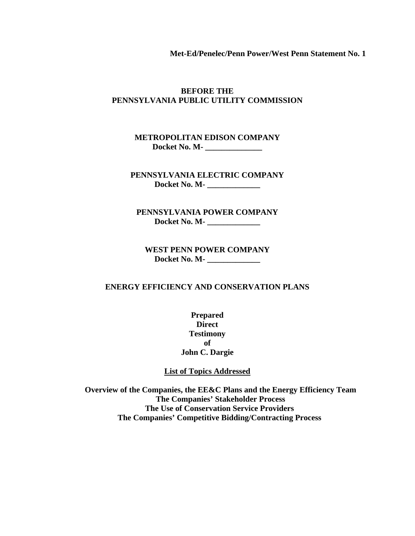**Met-Ed/Penelec/Penn Power/West Penn Statement No. 1** 

### **BEFORE THE PENNSYLVANIA PUBLIC UTILITY COMMISSION**

### **METROPOLITAN EDISON COMPANY Docket No. M- \_\_\_\_\_\_\_\_\_\_\_\_\_\_**

**PENNSYLVANIA ELECTRIC COMPANY Docket No. M- \_\_\_\_\_\_\_\_\_\_\_\_\_** 

**PENNSYLVANIA POWER COMPANY Docket No. M- \_\_\_\_\_\_\_\_\_\_\_\_\_** 

**WEST PENN POWER COMPANY Docket No. M- \_\_\_\_\_\_\_\_\_\_\_\_\_** 

#### **ENERGY EFFICIENCY AND CONSERVATION PLANS**

**Prepared Direct Testimony of John C. Dargie** 

#### **List of Topics Addressed**

 **Overview of the Companies, the EE&C Plans and the Energy Efficiency Team The Companies' Stakeholder Process The Use of Conservation Service Providers The Companies' Competitive Bidding/Contracting Process**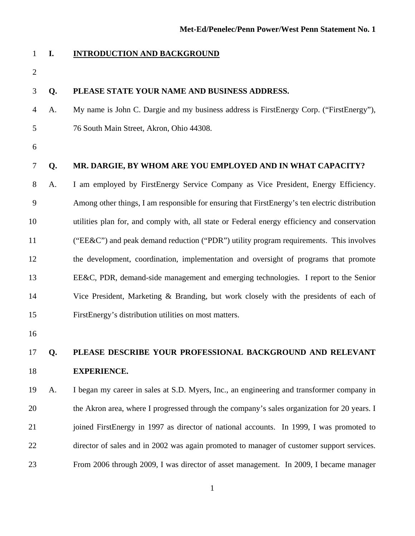### 1 **I. INTRODUCTION AND BACKGROUND**

2

- 3 **Q. PLEASE STATE YOUR NAME AND BUSINESS ADDRESS.**
- 4 A. My name is John C. Dargie and my business address is FirstEnergy Corp. ("FirstEnergy"), 5 76 South Main Street, Akron, Ohio 44308.
- 6

### 7 **Q. MR. DARGIE, BY WHOM ARE YOU EMPLOYED AND IN WHAT CAPACITY?**

8 A. I am employed by FirstEnergy Service Company as Vice President, Energy Efficiency. 9 Among other things, I am responsible for ensuring that FirstEnergy's ten electric distribution 10 utilities plan for, and comply with, all state or Federal energy efficiency and conservation 11 ("EE&C") and peak demand reduction ("PDR") utility program requirements. This involves 12 the development, coordination, implementation and oversight of programs that promote 13 EE&C, PDR, demand-side management and emerging technologies. I report to the Senior 14 Vice President, Marketing & Branding, but work closely with the presidents of each of 15 FirstEnergy's distribution utilities on most matters.

16

### 17 **Q. PLEASE DESCRIBE YOUR PROFESSIONAL BACKGROUND AND RELEVANT**  18 **EXPERIENCE.**

19 A. I began my career in sales at S.D. Myers, Inc., an engineering and transformer company in 20 the Akron area, where I progressed through the company's sales organization for 20 years. I 21 ioined FirstEnergy in 1997 as director of national accounts. In 1999, I was promoted to 22 director of sales and in 2002 was again promoted to manager of customer support services. 23 From 2006 through 2009, I was director of asset management. In 2009, I became manager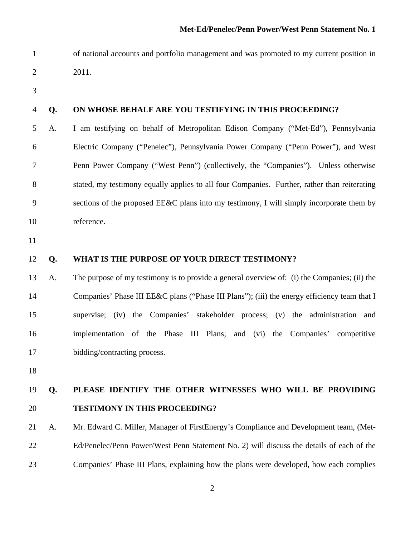- 1 of national accounts and portfolio management and was promoted to my current position in
- 2 2011.
- 3

#### 4 **Q. ON WHOSE BEHALF ARE YOU TESTIFYING IN THIS PROCEEDING?**

5 A. I am testifying on behalf of Metropolitan Edison Company ("Met-Ed"), Pennsylvania 6 Electric Company ("Penelec"), Pennsylvania Power Company ("Penn Power"), and West 7 Penn Power Company ("West Penn") (collectively, the "Companies"). Unless otherwise 8 stated, my testimony equally applies to all four Companies. Further, rather than reiterating 9 sections of the proposed EE&C plans into my testimony, I will simply incorporate them by 10 reference.

11

#### 12 **Q. WHAT IS THE PURPOSE OF YOUR DIRECT TESTIMONY?**

13 A. The purpose of my testimony is to provide a general overview of: (i) the Companies; (ii) the 14 Companies' Phase III EE&C plans ("Phase III Plans"); (iii) the energy efficiency team that I 15 supervise; (iv) the Companies' stakeholder process; (v) the administration and 16 implementation of the Phase III Plans; and (vi) the Companies' competitive 17 bidding/contracting process.

18

### 19 **Q. PLEASE IDENTIFY THE OTHER WITNESSES WHO WILL BE PROVIDING**  20 **TESTIMONY IN THIS PROCEEDING?**

21 A. Mr. Edward C. Miller, Manager of FirstEnergy's Compliance and Development team, (Met-22 Ed/Penelec/Penn Power/West Penn Statement No. 2) will discuss the details of each of the 23 Companies' Phase III Plans, explaining how the plans were developed, how each complies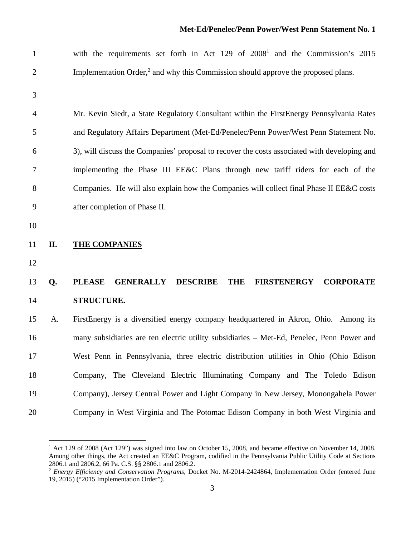| $\mathbf{1}$   |     | with the requirements set forth in Act 129 of 2008 <sup>1</sup> and the Commission's 2015                    |
|----------------|-----|--------------------------------------------------------------------------------------------------------------|
| $\mathfrak{2}$ |     | Implementation Order, <sup>2</sup> and why this Commission should approve the proposed plans.                |
| 3              |     |                                                                                                              |
| 4              |     | Mr. Kevin Siedt, a State Regulatory Consultant within the FirstEnergy Pennsylvania Rates                     |
| 5              |     | and Regulatory Affairs Department (Met-Ed/Penelec/Penn Power/West Penn Statement No.                         |
| 6              |     | 3), will discuss the Companies' proposal to recover the costs associated with developing and                 |
| 7              |     | implementing the Phase III EE&C Plans through new tariff riders for each of the                              |
| $8\,$          |     | Companies. He will also explain how the Companies will collect final Phase II EE&C costs                     |
| 9              |     | after completion of Phase II.                                                                                |
| 10             |     |                                                                                                              |
| 11             | II. | <b>THE COMPANIES</b>                                                                                         |
| 12             |     |                                                                                                              |
| 13             | Q.  | <b>PLEASE</b><br><b>GENERALLY</b><br><b>DESCRIBE</b><br><b>THE</b><br><b>FIRSTENERGY</b><br><b>CORPORATE</b> |
| 14             |     | <b>STRUCTURE.</b>                                                                                            |
| 15             | A.  | FirstEnergy is a diversified energy company headquartered in Akron, Ohio. Among its                          |
| 16             |     | many subsidiaries are ten electric utility subsidiaries - Met-Ed, Penelec, Penn Power and                    |
| 17             |     | West Penn in Pennsylvania, three electric distribution utilities in Ohio (Ohio Edison                        |
| 18             |     |                                                                                                              |
|                |     | Company, The Cleveland Electric Illuminating Company and The Toledo Edison                                   |
| 19             |     | Company), Jersey Central Power and Light Company in New Jersey, Monongahela Power                            |

 1 Act 129 of 2008 (Act 129") was signed into law on October 15, 2008, and became effective on November 14, 2008. Among other things, the Act created an EE&C Program, codified in the Pennsylvania Public Utility Code at Sections 2806.1 and 2806.2, 66 Pa. C.S. §§ 2806.1 and 2806.2.

<sup>&</sup>lt;sup>2</sup> Energy Efficiency and Conservation Programs, Docket No. M-2014-2424864, Implementation Order (entered June 19, 2015) ("2015 Implementation Order").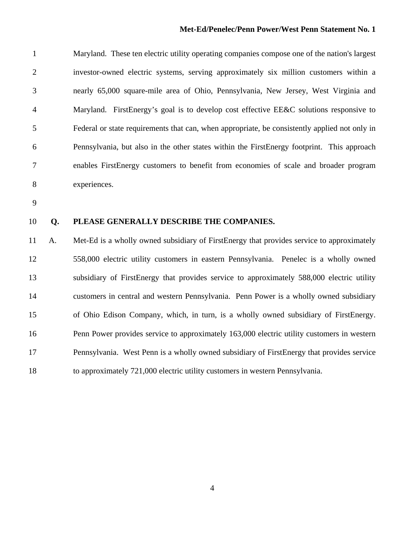#### **Met-Ed/Penelec/Penn Power/West Penn Statement No. 1**

1 Maryland. These ten electric utility operating companies compose one of the nation's largest 2 investor-owned electric systems, serving approximately six million customers within a 3 nearly 65,000 square-mile area of Ohio, Pennsylvania, New Jersey, West Virginia and 4 Maryland. FirstEnergy's goal is to develop cost effective EE&C solutions responsive to 5 Federal or state requirements that can, when appropriate, be consistently applied not only in 6 Pennsylvania, but also in the other states within the FirstEnergy footprint. This approach 7 enables FirstEnergy customers to benefit from economies of scale and broader program 8 experiences.

9

#### 10 **Q. PLEASE GENERALLY DESCRIBE THE COMPANIES.**

11 A. Met-Ed is a wholly owned subsidiary of FirstEnergy that provides service to approximately 12 558,000 electric utility customers in eastern Pennsylvania. Penelec is a wholly owned 13 subsidiary of FirstEnergy that provides service to approximately 588,000 electric utility 14 customers in central and western Pennsylvania. Penn Power is a wholly owned subsidiary 15 of Ohio Edison Company, which, in turn, is a wholly owned subsidiary of FirstEnergy. 16 Penn Power provides service to approximately 163,000 electric utility customers in western 17 Pennsylvania. West Penn is a wholly owned subsidiary of FirstEnergy that provides service 18 to approximately 721,000 electric utility customers in western Pennsylvania.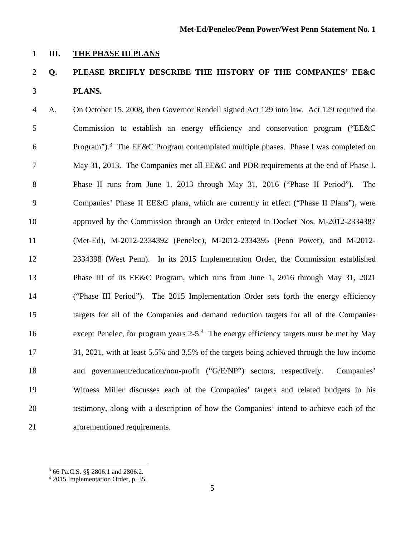### 1 **III. THE PHASE III PLANS**

### 2 **Q. PLEASE BREIFLY DESCRIBE THE HISTORY OF THE COMPANIES' EE&C**  3 **PLANS.**

4 A. On October 15, 2008, then Governor Rendell signed Act 129 into law. Act 129 required the 5 Commission to establish an energy efficiency and conservation program ("EE&C 6 Program").<sup>3</sup> The EE&C Program contemplated multiple phases. Phase I was completed on 7 May 31, 2013. The Companies met all EE&C and PDR requirements at the end of Phase I. 8 Phase II runs from June 1, 2013 through May 31, 2016 ("Phase II Period"). The 9 Companies' Phase II EE&C plans, which are currently in effect ("Phase II Plans"), were 10 approved by the Commission through an Order entered in Docket Nos. M-2012-2334387 11 (Met-Ed), M-2012-2334392 (Penelec), M-2012-2334395 (Penn Power), and M-2012- 12 2334398 (West Penn). In its 2015 Implementation Order, the Commission established 13 Phase III of its EE&C Program, which runs from June 1, 2016 through May 31, 2021 14 ("Phase III Period"). The 2015 Implementation Order sets forth the energy efficiency 15 targets for all of the Companies and demand reduction targets for all of the Companies 16 except Penelec, for program years  $2-5.^4$  The energy efficiency targets must be met by May 17 31, 2021, with at least 5.5% and 3.5% of the targets being achieved through the low income 18 and government/education/non-profit ("G/E/NP") sectors, respectively. Companies' 19 Witness Miller discusses each of the Companies' targets and related budgets in his 20 testimony, along with a description of how the Companies' intend to achieve each of the 21 aforementioned requirements.

 $\overline{a}$ 

<sup>3</sup> 66 Pa.C.S. §§ 2806.1 and 2806.2.

<sup>4</sup> 2015 Implementation Order, p. 35.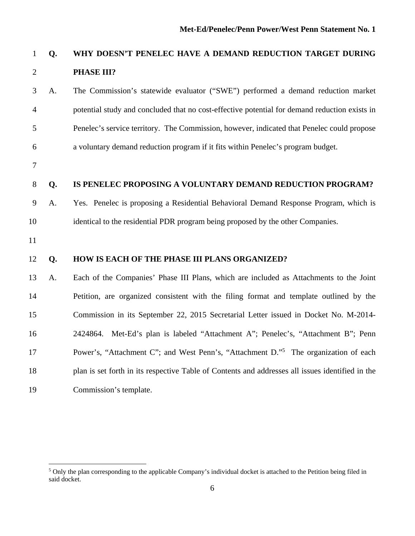### 1 **Q. WHY DOESN'T PENELEC HAVE A DEMAND REDUCTION TARGET DURING**  2 **PHASE III?**

3 A. The Commission's statewide evaluator ("SWE") performed a demand reduction market 4 potential study and concluded that no cost-effective potential for demand reduction exists in 5 Penelec's service territory. The Commission, however, indicated that Penelec could propose 6 a voluntary demand reduction program if it fits within Penelec's program budget.

7

#### 8 **Q. IS PENELEC PROPOSING A VOLUNTARY DEMAND REDUCTION PROGRAM?**

9 A. Yes. Penelec is proposing a Residential Behavioral Demand Response Program, which is 10 identical to the residential PDR program being proposed by the other Companies.

11

 $\overline{a}$ 

### 12 **Q. HOW IS EACH OF THE PHASE III PLANS ORGANIZED?**

13 A. Each of the Companies' Phase III Plans, which are included as Attachments to the Joint 14 Petition, are organized consistent with the filing format and template outlined by the 15 Commission in its September 22, 2015 Secretarial Letter issued in Docket No. M-2014- 16 2424864. Met-Ed's plan is labeled "Attachment A"; Penelec's, "Attachment B"; Penn Power's, "Attachment C"; and West Penn's, "Attachment D."<sup>5</sup> The organization of each 18 plan is set forth in its respective Table of Contents and addresses all issues identified in the 19 Commission's template.

<sup>&</sup>lt;sup>5</sup> Only the plan corresponding to the applicable Company's individual docket is attached to the Petition being filed in said docket.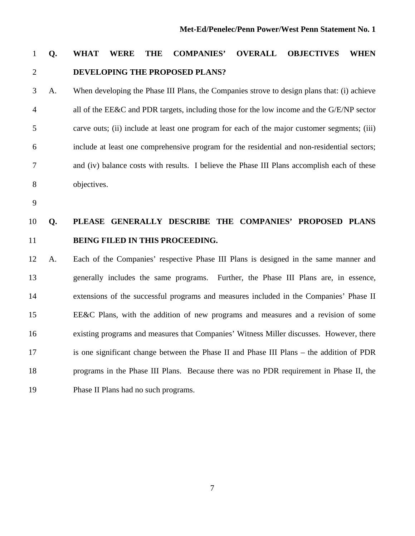## 1 **Q. WHAT WERE THE COMPANIES' OVERALL OBJECTIVES WHEN**  2 **DEVELOPING THE PROPOSED PLANS?**

3 A. When developing the Phase III Plans, the Companies strove to design plans that: (i) achieve 4 all of the EE&C and PDR targets, including those for the low income and the G/E/NP sector 5 carve outs; (ii) include at least one program for each of the major customer segments; (iii) 6 include at least one comprehensive program for the residential and non-residential sectors; 7 and (iv) balance costs with results. I believe the Phase III Plans accomplish each of these 8 objectives.

9

### 10 **Q. PLEASE GENERALLY DESCRIBE THE COMPANIES' PROPOSED PLANS**  11 **BEING FILED IN THIS PROCEEDING.**

12 A. Each of the Companies' respective Phase III Plans is designed in the same manner and 13 generally includes the same programs. Further, the Phase III Plans are, in essence, 14 extensions of the successful programs and measures included in the Companies' Phase II 15 EE&C Plans, with the addition of new programs and measures and a revision of some 16 existing programs and measures that Companies' Witness Miller discusses. However, there 17 is one significant change between the Phase II and Phase III Plans – the addition of PDR 18 programs in the Phase III Plans. Because there was no PDR requirement in Phase II, the 19 Phase II Plans had no such programs.

7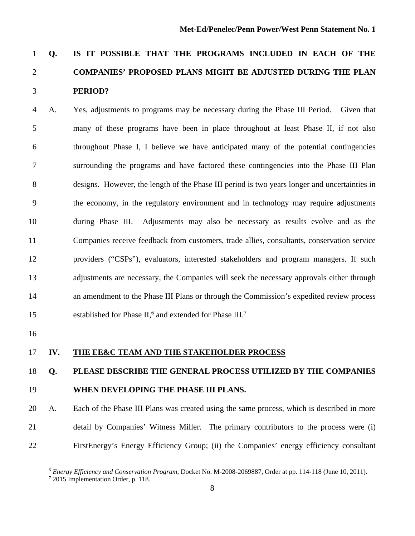# 1 **Q. IS IT POSSIBLE THAT THE PROGRAMS INCLUDED IN EACH OF THE**  2 **COMPANIES' PROPOSED PLANS MIGHT BE ADJUSTED DURING THE PLAN**  3 **PERIOD?**

4 A. Yes, adjustments to programs may be necessary during the Phase III Period. Given that 5 many of these programs have been in place throughout at least Phase II, if not also 6 throughout Phase I, I believe we have anticipated many of the potential contingencies 7 surrounding the programs and have factored these contingencies into the Phase III Plan 8 designs. However, the length of the Phase III period is two years longer and uncertainties in 9 the economy, in the regulatory environment and in technology may require adjustments 10 during Phase III. Adjustments may also be necessary as results evolve and as the 11 Companies receive feedback from customers, trade allies, consultants, conservation service 12 providers ("CSPs"), evaluators, interested stakeholders and program managers. If such 13 adjustments are necessary, the Companies will seek the necessary approvals either through 14 an amendment to the Phase III Plans or through the Commission's expedited review process 15 established for Phase II,<sup>6</sup> and extended for Phase III.<sup>7</sup>

16

 $\overline{a}$ 

#### 17 **IV. THE EE&C TEAM AND THE STAKEHOLDER PROCESS**

### 18 **Q. PLEASE DESCRIBE THE GENERAL PROCESS UTILIZED BY THE COMPANIES**  19 **WHEN DEVELOPING THE PHASE III PLANS.**

20 A. Each of the Phase III Plans was created using the same process, which is described in more 21 detail by Companies' Witness Miller. The primary contributors to the process were (i) 22 FirstEnergy's Energy Efficiency Group; (ii) the Companies' energy efficiency consultant

<sup>6</sup> *Energy Efficiency and Conservation Program,* Docket No. M-2008-2069887, Order at pp. 114-118 (June 10, 2011). 7

 $72015$  Implementation Order, p. 118.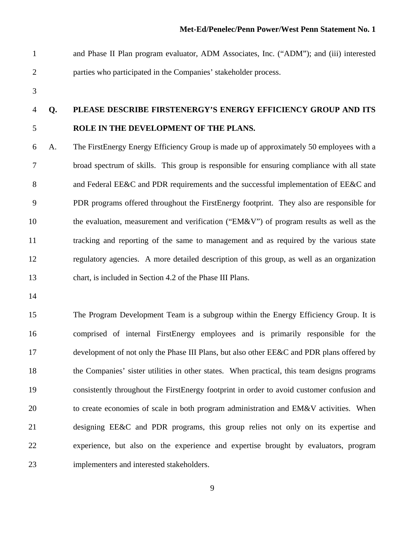- 1 and Phase II Plan program evaluator, ADM Associates, Inc. ("ADM"); and (iii) interested 2 parties who participated in the Companies' stakeholder process.
- 3

### 4 **Q. PLEASE DESCRIBE FIRSTENERGY'S ENERGY EFFICIENCY GROUP AND ITS**  5 **ROLE IN THE DEVELOPMENT OF THE PLANS.**

6 A. The FirstEnergy Energy Efficiency Group is made up of approximately 50 employees with a 7 broad spectrum of skills. This group is responsible for ensuring compliance with all state 8 and Federal EE&C and PDR requirements and the successful implementation of EE&C and 9 PDR programs offered throughout the FirstEnergy footprint. They also are responsible for 10 the evaluation, measurement and verification ("EM&V") of program results as well as the 11 tracking and reporting of the same to management and as required by the various state 12 regulatory agencies. A more detailed description of this group, as well as an organization 13 chart, is included in Section 4.2 of the Phase III Plans.

14

15 The Program Development Team is a subgroup within the Energy Efficiency Group. It is 16 comprised of internal FirstEnergy employees and is primarily responsible for the 17 development of not only the Phase III Plans, but also other EE&C and PDR plans offered by 18 the Companies' sister utilities in other states. When practical, this team designs programs 19 consistently throughout the FirstEnergy footprint in order to avoid customer confusion and 20 to create economies of scale in both program administration and EM&V activities. When 21 designing EE&C and PDR programs, this group relies not only on its expertise and 22 experience, but also on the experience and expertise brought by evaluators, program 23 implementers and interested stakeholders.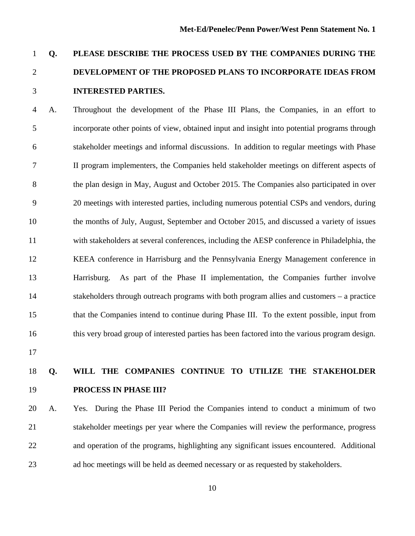## 1 **Q. PLEASE DESCRIBE THE PROCESS USED BY THE COMPANIES DURING THE**  2 **DEVELOPMENT OF THE PROPOSED PLANS TO INCORPORATE IDEAS FROM**  3 **INTERESTED PARTIES.**

4 A. Throughout the development of the Phase III Plans, the Companies, in an effort to 5 incorporate other points of view, obtained input and insight into potential programs through 6 stakeholder meetings and informal discussions. In addition to regular meetings with Phase 7 II program implementers, the Companies held stakeholder meetings on different aspects of 8 the plan design in May, August and October 2015. The Companies also participated in over 9 20 meetings with interested parties, including numerous potential CSPs and vendors, during 10 the months of July, August, September and October 2015, and discussed a variety of issues 11 with stakeholders at several conferences, including the AESP conference in Philadelphia, the 12 KEEA conference in Harrisburg and the Pennsylvania Energy Management conference in 13 Harrisburg. As part of the Phase II implementation, the Companies further involve 14 stakeholders through outreach programs with both program allies and customers – a practice 15 that the Companies intend to continue during Phase III. To the extent possible, input from 16 this very broad group of interested parties has been factored into the various program design.

17

### 18 **Q. WILL THE COMPANIES CONTINUE TO UTILIZE THE STAKEHOLDER**  19 **PROCESS IN PHASE III?**

20 A. Yes. During the Phase III Period the Companies intend to conduct a minimum of two 21 stakeholder meetings per year where the Companies will review the performance, progress 22 and operation of the programs, highlighting any significant issues encountered. Additional 23 ad hoc meetings will be held as deemed necessary or as requested by stakeholders.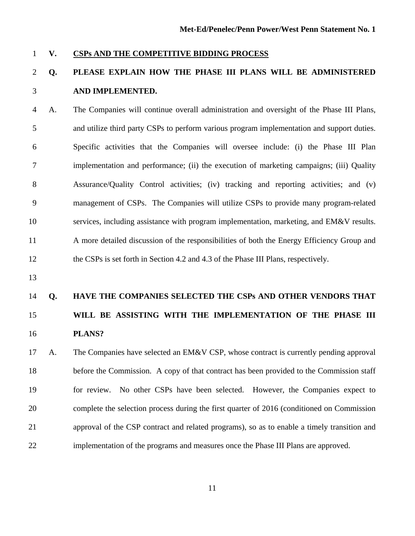#### 1 **V. CSPs AND THE COMPETITIVE BIDDING PROCESS**

### 2 **Q. PLEASE EXPLAIN HOW THE PHASE III PLANS WILL BE ADMINISTERED**  3 **AND IMPLEMENTED.**

4 A. The Companies will continue overall administration and oversight of the Phase III Plans, 5 and utilize third party CSPs to perform various program implementation and support duties. 6 Specific activities that the Companies will oversee include: (i) the Phase III Plan 7 implementation and performance; (ii) the execution of marketing campaigns; (iii) Quality 8 Assurance/Quality Control activities; (iv) tracking and reporting activities; and (v) 9 management of CSPs. The Companies will utilize CSPs to provide many program-related 10 services, including assistance with program implementation, marketing, and EM&V results. 11 A more detailed discussion of the responsibilities of both the Energy Efficiency Group and 12 the CSPs is set forth in Section 4.2 and 4.3 of the Phase III Plans, respectively.

13

# 14 **Q. HAVE THE COMPANIES SELECTED THE CSPs AND OTHER VENDORS THAT**  15 **WILL BE ASSISTING WITH THE IMPLEMENTATION OF THE PHASE III**  16 **PLANS?**

17 A. The Companies have selected an EM&V CSP, whose contract is currently pending approval 18 before the Commission. A copy of that contract has been provided to the Commission staff 19 for review. No other CSPs have been selected. However, the Companies expect to 20 complete the selection process during the first quarter of 2016 (conditioned on Commission 21 approval of the CSP contract and related programs), so as to enable a timely transition and 22 implementation of the programs and measures once the Phase III Plans are approved.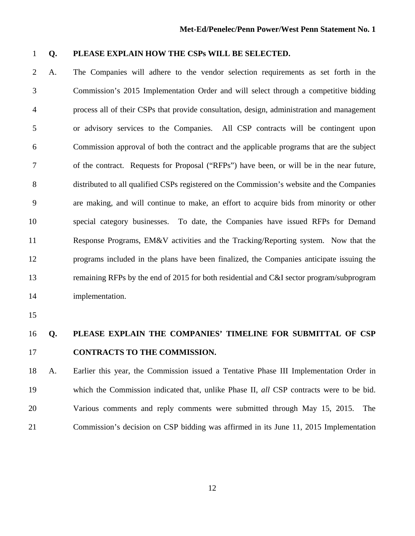### 1 **Q. PLEASE EXPLAIN HOW THE CSPs WILL BE SELECTED.**

2 A. The Companies will adhere to the vendor selection requirements as set forth in the 3 Commission's 2015 Implementation Order and will select through a competitive bidding 4 process all of their CSPs that provide consultation, design, administration and management 5 or advisory services to the Companies. All CSP contracts will be contingent upon 6 Commission approval of both the contract and the applicable programs that are the subject 7 of the contract. Requests for Proposal ("RFPs") have been, or will be in the near future, 8 distributed to all qualified CSPs registered on the Commission's website and the Companies 9 are making, and will continue to make, an effort to acquire bids from minority or other 10 special category businesses. To date, the Companies have issued RFPs for Demand 11 Response Programs, EM&V activities and the Tracking/Reporting system. Now that the 12 programs included in the plans have been finalized, the Companies anticipate issuing the 13 remaining RFPs by the end of 2015 for both residential and C&I sector program/subprogram 14 implementation.

15

### 16 **Q. PLEASE EXPLAIN THE COMPANIES' TIMELINE FOR SUBMITTAL OF CSP**  17 **CONTRACTS TO THE COMMISSION.**

18 A. Earlier this year, the Commission issued a Tentative Phase III Implementation Order in 19 which the Commission indicated that, unlike Phase II, *all* CSP contracts were to be bid. 20 Various comments and reply comments were submitted through May 15, 2015. The 21 Commission's decision on CSP bidding was affirmed in its June 11, 2015 Implementation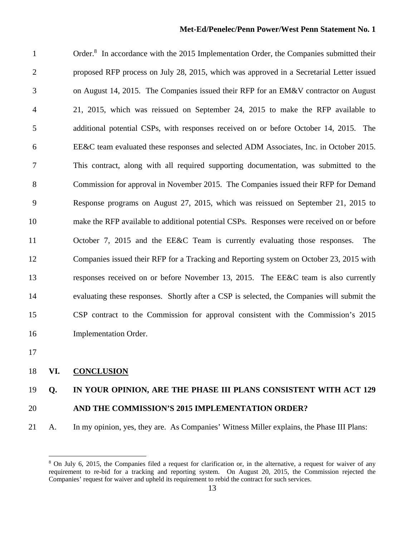1 Order.<sup>8</sup> In accordance with the 2015 Implementation Order, the Companies submitted their 2 proposed RFP process on July 28, 2015, which was approved in a Secretarial Letter issued 3 on August 14, 2015. The Companies issued their RFP for an EM&V contractor on August 4 21, 2015, which was reissued on September 24, 2015 to make the RFP available to 5 additional potential CSPs, with responses received on or before October 14, 2015. The 6 EE&C team evaluated these responses and selected ADM Associates, Inc. in October 2015. 7 This contract, along with all required supporting documentation, was submitted to the 8 Commission for approval in November 2015. The Companies issued their RFP for Demand 9 Response programs on August 27, 2015, which was reissued on September 21, 2015 to 10 make the RFP available to additional potential CSPs. Responses were received on or before 11 October 7, 2015 and the EE&C Team is currently evaluating those responses. The 12 Companies issued their RFP for a Tracking and Reporting system on October 23, 2015 with 13 responses received on or before November 13, 2015. The EE&C team is also currently 14 evaluating these responses. Shortly after a CSP is selected, the Companies will submit the 15 CSP contract to the Commission for approval consistent with the Commission's 2015 16 Implementation Order.

17

 $\overline{a}$ 

#### 18 **VI. CONCLUSION**

### 19 **Q. IN YOUR OPINION, ARE THE PHASE III PLANS CONSISTENT WITH ACT 129**

#### 20 **AND THE COMMISSION'S 2015 IMPLEMENTATION ORDER?**

21 A. In my opinion, yes, they are. As Companies' Witness Miller explains, the Phase III Plans:

<sup>8</sup> On July 6, 2015, the Companies filed a request for clarification or, in the alternative, a request for waiver of any requirement to re-bid for a tracking and reporting system. On August 20, 2015, the Commission rejected the Companies' request for waiver and upheld its requirement to rebid the contract for such services.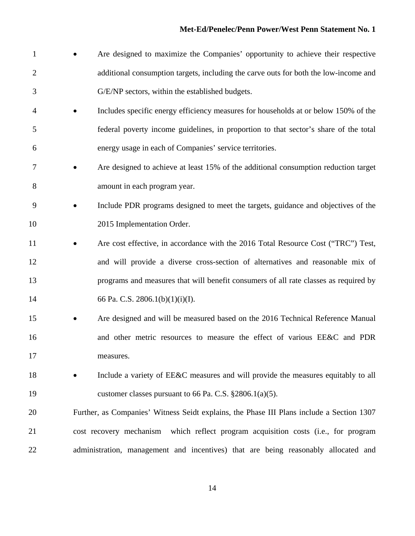1 • Are designed to maximize the Companies' opportunity to achieve their respective 2 additional consumption targets, including the carve outs for both the low-income and 3 G/E/NP sectors, within the established budgets. 4 Includes specific energy efficiency measures for households at or below 150% of the 5 federal poverty income guidelines, in proportion to that sector's share of the total 6 energy usage in each of Companies' service territories. 7 • Are designed to achieve at least 15% of the additional consumption reduction target 8 amount in each program year. 9 Include PDR programs designed to meet the targets, guidance and objectives of the 10 2015 Implementation Order. 11 • Are cost effective, in accordance with the 2016 Total Resource Cost ("TRC") Test, 12 and will provide a diverse cross-section of alternatives and reasonable mix of 13 programs and measures that will benefit consumers of all rate classes as required by 14 66 Pa. C.S. 2806.1(b)(1)(i)(I). 15 • Are designed and will be measured based on the 2016 Technical Reference Manual 16 and other metric resources to measure the effect of various EE&C and PDR 17 measures. 18 • Include a variety of EE&C measures and will provide the measures equitably to all 19 customer classes pursuant to 66 Pa. C.S. §2806.1(a)(5). 20 Further, as Companies' Witness Seidt explains, the Phase III Plans include a Section 1307 21 cost recovery mechanism which reflect program acquisition costs (i.e., for program 22 administration, management and incentives) that are being reasonably allocated and